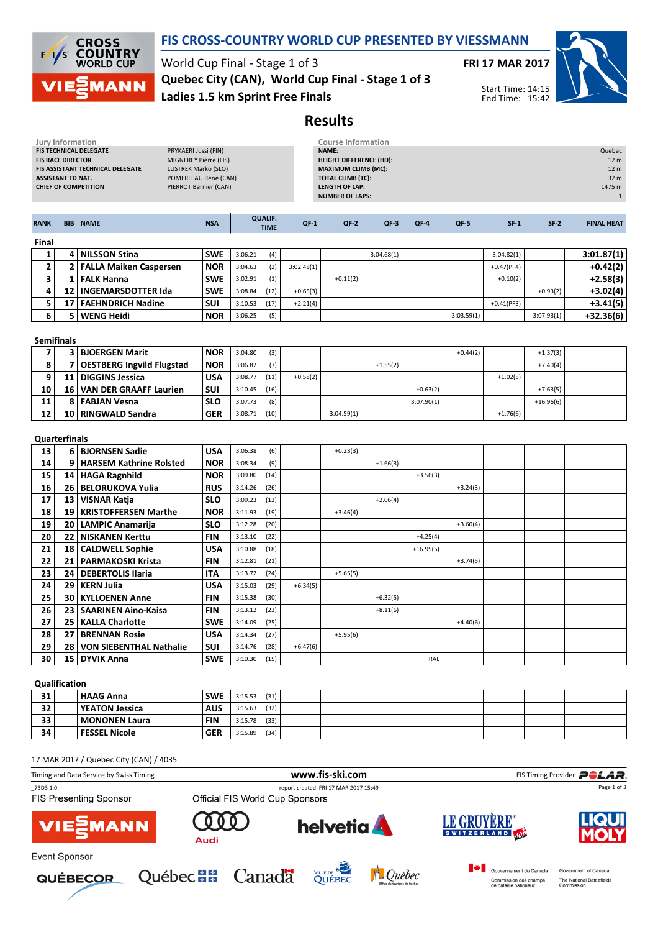

## FIS CROSS-COUNTRY WORLD CUP PRESENTED BY VIESSMANN

World Cup Final - Stage 1 of 3 Ladies 1.5 km Sprint Free Finals Quebec City (CAN), World Cup Final - Stage 1 of 3 FRI 17 MAR 2017



Start Time: 14:15 End Time: 15:42

## Results

|                     | <b>Jury Information</b>                              |                                                                                                                                                                                                                           |                          |                         |                               |            | <b>Course Information</b>                                                                                                                            |            |             |            |              |                          |                                                                                |
|---------------------|------------------------------------------------------|---------------------------------------------------------------------------------------------------------------------------------------------------------------------------------------------------------------------------|--------------------------|-------------------------|-------------------------------|------------|------------------------------------------------------------------------------------------------------------------------------------------------------|------------|-------------|------------|--------------|--------------------------|--------------------------------------------------------------------------------|
|                     | <b>FIS RACE DIRECTOR</b><br><b>ASSISTANT TD NAT.</b> | FIS TECHNICAL DELEGATE<br>PRYKAERI Jussi (FIN)<br>MIGNEREY Pierre (FIS)<br>FIS ASSISTANT TECHNICAL DELEGATE<br><b>LUSTREK Marko (SLO)</b><br>POMERLEAU Rene (CAN)<br><b>CHIEF OF COMPETITION</b><br>PIERROT Bernier (CAN) |                          |                         |                               |            | NAME:<br><b>HEIGHT DIFFERENCE (HD):</b><br><b>MAXIMUM CLIMB (MC):</b><br><b>TOTAL CLIMB (TC):</b><br><b>LENGTH OF LAP:</b><br><b>NUMBER OF LAPS:</b> |            |             |            |              |                          | Quebec<br>12 <sub>m</sub><br>12 <sub>m</sub><br>32 m<br>1475 m<br>$\mathbf{1}$ |
| <b>RANK</b>         |                                                      | <b>BIB NAME</b>                                                                                                                                                                                                           | <b>NSA</b>               |                         | <b>QUALIF.</b><br><b>TIME</b> | $QF-1$     | $QF-2$                                                                                                                                               | $QF-3$     | QF-4        | QF-5       | $SF-1$       | $SF-2$                   | <b>FINAL HEAT</b>                                                              |
| Final               |                                                      |                                                                                                                                                                                                                           |                          |                         |                               |            |                                                                                                                                                      |            |             |            |              |                          |                                                                                |
| $\mathbf{1}$        |                                                      | 4 NILSSON Stina                                                                                                                                                                                                           | <b>SWE</b>               | 3:06.21                 | (4)                           |            |                                                                                                                                                      | 3:04.68(1) |             |            | 3:04.82(1)   |                          | 3:01.87(1)                                                                     |
| 2                   |                                                      | 2 FALLA Maiken Caspersen                                                                                                                                                                                                  | <b>NOR</b>               | 3:04.63                 | (2)                           | 3:02.48(1) |                                                                                                                                                      |            |             |            | $+0.47(PF4)$ |                          | $+0.42(2)$                                                                     |
| 3                   |                                                      | 1   FALK Hanna                                                                                                                                                                                                            | <b>SWE</b>               | 3:02.91                 | (1)                           |            | $+0.11(2)$                                                                                                                                           |            |             |            | $+0.10(2)$   |                          | $+2.58(3)$                                                                     |
| 4                   | $12 \overline{ }$                                    | <b>INGEMARSDOTTER Ida</b>                                                                                                                                                                                                 | <b>SWE</b>               | 3:08.84                 | (12)                          | $+0.65(3)$ |                                                                                                                                                      |            |             |            |              | $+0.93(2)$               | +3.02(4)                                                                       |
| 5                   |                                                      | 17   FAEHNDRICH Nadine                                                                                                                                                                                                    | SUI                      | 3:10.53                 | (17)                          | $+2.21(4)$ |                                                                                                                                                      |            |             |            | $+0.41(PF3)$ |                          | $+3.41(5)$                                                                     |
| 6                   | 5                                                    | <b>WENG Heidi</b>                                                                                                                                                                                                         | <b>NOR</b>               | 3:06.25                 | (5)                           |            |                                                                                                                                                      |            |             | 3:03.59(1) |              | 3:07.93(1)               | $+32.36(6)$                                                                    |
| <b>Semifinals</b>   |                                                      |                                                                                                                                                                                                                           |                          |                         |                               |            |                                                                                                                                                      |            |             |            |              |                          |                                                                                |
| $\overline{7}$<br>8 | $\overline{7}$                                       | 3 BJOERGEN Marit<br><b>OESTBERG Ingvild Flugstad</b>                                                                                                                                                                      | <b>NOR</b><br><b>NOR</b> | 3:04.80<br>3:06.82      | (3)<br>(7)                    |            |                                                                                                                                                      | $+1.55(2)$ |             | $+0.44(2)$ |              | $+1.37(3)$<br>$+7.40(4)$ |                                                                                |
| 9                   |                                                      | 11   DIGGINS Jessica                                                                                                                                                                                                      | <b>USA</b>               | 3:08.77                 | (11)                          | $+0.58(2)$ |                                                                                                                                                      |            |             |            | $+1.02(5)$   |                          |                                                                                |
| 10                  |                                                      | 16 VAN DER GRAAFF Laurien                                                                                                                                                                                                 | <b>SUI</b>               | 3:10.45                 | (16)                          |            |                                                                                                                                                      |            | $+0.63(2)$  |            |              | $+7.63(5)$               |                                                                                |
| 11                  | 8                                                    | <b>FABJAN Vesna</b>                                                                                                                                                                                                       | <b>SLO</b>               | 3:07.73                 | (8)                           |            |                                                                                                                                                      |            | 3:07.90(1)  |            |              | $+16.96(6)$              |                                                                                |
| 12                  |                                                      | 10   RINGWALD Sandra                                                                                                                                                                                                      | <b>GER</b>               | 3:08.71                 | (10)                          |            | 3:04.59(1)                                                                                                                                           |            |             |            | $+1.76(6)$   |                          |                                                                                |
| 13                  | <b>Quarterfinals</b>                                 | 6 BJORNSEN Sadie                                                                                                                                                                                                          | <b>USA</b>               | 3:06.38                 | (6)                           |            | $+0.23(3)$                                                                                                                                           |            |             |            |              |                          |                                                                                |
| 14                  |                                                      | 9   HARSEM Kathrine Rolsted                                                                                                                                                                                               | <b>NOR</b>               | 3:08.34                 | (9)                           |            |                                                                                                                                                      | $+1.66(3)$ |             |            |              |                          |                                                                                |
| 15                  |                                                      | 14 HAGA Ragnhild                                                                                                                                                                                                          | <b>NOR</b>               | 3:09.80                 | (14)                          |            |                                                                                                                                                      |            | $+3.56(3)$  |            |              |                          |                                                                                |
| 16                  |                                                      | 26   BELORUKOVA Yulia                                                                                                                                                                                                     | <b>RUS</b>               | 3:14.26                 | (26)                          |            |                                                                                                                                                      |            |             | $+3.24(3)$ |              |                          |                                                                                |
| 17                  |                                                      | 13   VISNAR Katja                                                                                                                                                                                                         | <b>SLO</b>               | 3:09.23                 | (13)                          |            |                                                                                                                                                      | $+2.06(4)$ |             |            |              |                          |                                                                                |
| 18                  |                                                      | 19   KRISTOFFERSEN Marthe                                                                                                                                                                                                 | <b>NOR</b>               | 3:11.93                 | (19)                          |            | $+3.46(4)$                                                                                                                                           |            |             |            |              |                          |                                                                                |
| 19                  |                                                      | 20   LAMPIC Anamarija                                                                                                                                                                                                     | <b>SLO</b>               | 3:12.28                 | (20)                          |            |                                                                                                                                                      |            |             | $+3.60(4)$ |              |                          |                                                                                |
| 20                  | 22                                                   | <b>NISKANEN Kerttu</b>                                                                                                                                                                                                    | <b>FIN</b>               | 3:13.10                 | (22)                          |            |                                                                                                                                                      |            | $+4.25(4)$  |            |              |                          |                                                                                |
| 21                  | 18                                                   | <b>CALDWELL Sophie</b>                                                                                                                                                                                                    | <b>USA</b>               | 3:10.88                 | (18)                          |            |                                                                                                                                                      |            | $+16.95(5)$ |            |              |                          |                                                                                |
| 22                  | 21                                                   | <b>PARMAKOSKI Krista</b>                                                                                                                                                                                                  | <b>FIN</b>               | 3:12.81                 | (21)                          |            |                                                                                                                                                      |            |             | $+3.74(5)$ |              |                          |                                                                                |
| 23                  |                                                      | 24   DEBERTOLIS Ilaria                                                                                                                                                                                                    | ITA                      | 3:13.72                 | (24)                          |            | $+5.65(5)$                                                                                                                                           |            |             |            |              |                          |                                                                                |
| 24                  | 29                                                   | <b>KERN Julia</b>                                                                                                                                                                                                         | <b>USA</b>               | 3:15.03                 | (29)                          | $+6.34(5)$ |                                                                                                                                                      |            |             |            |              |                          |                                                                                |
| 25                  | 30                                                   | <b>KYLLOENEN Anne</b>                                                                                                                                                                                                     | <b>FIN</b>               | 3:15.38                 | (30)                          |            |                                                                                                                                                      | $+6.32(5)$ |             |            |              |                          |                                                                                |
| 26                  |                                                      | 23   SAARINEN Aino-Kaisa                                                                                                                                                                                                  | <b>FIN</b>               | 3:13.12                 | (23)                          |            |                                                                                                                                                      | $+8.11(6)$ |             |            |              |                          |                                                                                |
| 27                  |                                                      | 25   KALLA Charlotte                                                                                                                                                                                                      | <b>SWE</b>               | 3:14.09                 | (25)                          |            |                                                                                                                                                      |            |             | $+4.40(6)$ |              |                          |                                                                                |
| 28                  | 27                                                   | <b>BRENNAN Rosie</b>                                                                                                                                                                                                      | <b>USA</b>               | 3:14.34                 | (27)                          |            | $+5.95(6)$                                                                                                                                           |            |             |            |              |                          |                                                                                |
| 29                  | 28                                                   | <b>VON SIEBENTHAL Nathalie</b>                                                                                                                                                                                            | SUI                      | 3:14.76                 | (28)                          | $+6.47(6)$ |                                                                                                                                                      |            |             |            |              |                          |                                                                                |
| 30                  | 15                                                   | <b>DYVIK Anna</b>                                                                                                                                                                                                         | <b>SWE</b>               | 3:10.30                 | (15)                          |            |                                                                                                                                                      |            | RAL         |            |              |                          |                                                                                |
| Qualification       |                                                      |                                                                                                                                                                                                                           |                          |                         |                               |            |                                                                                                                                                      |            |             |            |              |                          |                                                                                |
| 31 I                |                                                      | <b>HAAG Anna</b>                                                                                                                                                                                                          |                          | <b>SMF</b> 3.15.53 (31) |                               |            |                                                                                                                                                      |            |             |            |              |                          |                                                                                |

| 31                                                           |  |
|--------------------------------------------------------------|--|
| 32<br><b>AUS</b><br><b>YEATON Jessica</b><br>(32)<br>3:15.63 |  |
| 33<br><b>FIN</b><br>  MONONEN Laura<br>(33)<br>3:15.78       |  |
| 34<br><b>GER</b><br><b>FESSEL Nicole</b><br>(34)<br>3:15.89  |  |

17 MAR 2017 / Quebec City (CAN) / 4035

| Timing and Data Service by Swiss Timing   |                         |                                 | www.fis-ski.com                      |             |                                                 |                       | FIS Timing Provider <b>POLAR</b>                                |
|-------------------------------------------|-------------------------|---------------------------------|--------------------------------------|-------------|-------------------------------------------------|-----------------------|-----------------------------------------------------------------|
| 73D3 1.0<br><b>FIS Presenting Sponsor</b> |                         | Official FIS World Cup Sponsors | report created FRI 17 MAR 2017 15:49 | Page 1 of 3 |                                                 |                       |                                                                 |
| <b>VIE</b> MANN                           | Audi                    |                                 | <b>helvetia</b>                      |             | LE GRUYERE®                                     |                       | <b>LIQUI</b><br>MOLY                                            |
| <b>Event Sponsor</b>                      |                         |                                 |                                      |             |                                                 |                       |                                                                 |
| <b>QUÉBECOR</b>                           | Québec <b>HH</b> Canada |                                 | VILLE DE NEG                         | A Québec    | Gouvernement du Canada<br>de bataille nationaux | Commission des champs | Government of Canada<br>The National Battlefields<br>Commission |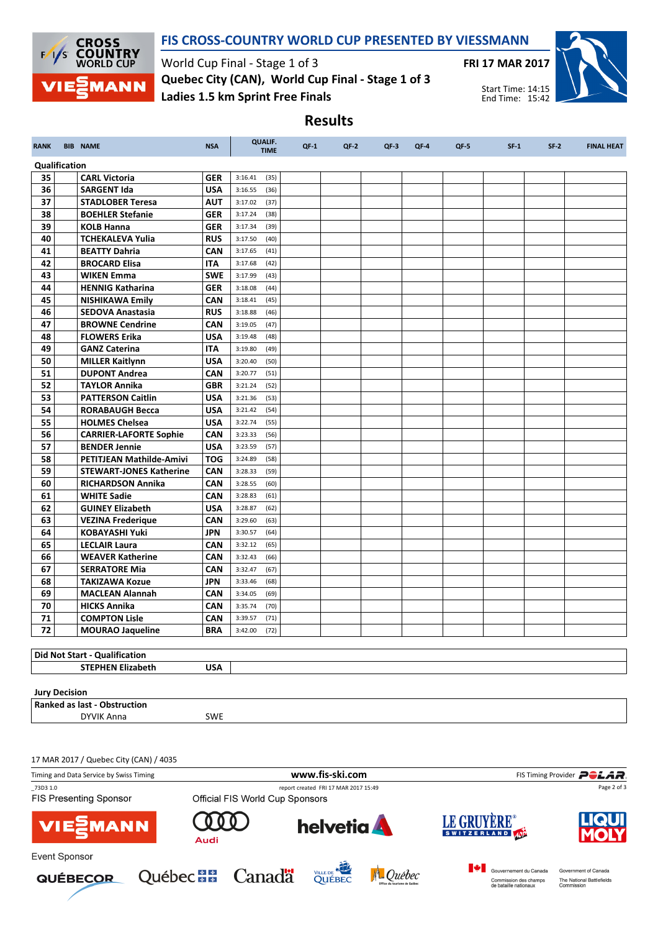

## FIS CROSS-COUNTRY WORLD CUP PRESENTED BY VIESSMANN

Results

World Cup Final - Stage 1 of 3 Ladies 1.5 km Sprint Free Finals Quebec City (CAN), World Cup Final - Stage 1 of 3 FRI 17 MAR 2017



Start Time: 14:15 End Time: 15:42

| <b>RANK</b>          | <b>BIB NAME</b>                               | <b>NSA</b>        | <b>QUALIF.</b><br><b>TIME</b>      | $QF-1$ | $QF-2$ | $QF-3$ | QF-4 | $QF-5$ | $SF-1$ | $SF-2$ | <b>FINAL HEAT</b> |
|----------------------|-----------------------------------------------|-------------------|------------------------------------|--------|--------|--------|------|--------|--------|--------|-------------------|
| Qualification        |                                               |                   |                                    |        |        |        |      |        |        |        |                   |
| 35                   | <b>CARL Victoria</b>                          | <b>GER</b>        | 3:16.41<br>(35)                    |        |        |        |      |        |        |        |                   |
| 36                   | <b>SARGENT Ida</b>                            | <b>USA</b>        | 3:16.55<br>(36)                    |        |        |        |      |        |        |        |                   |
| 37                   | <b>STADLOBER Teresa</b>                       | <b>AUT</b>        | 3:17.02<br>(37)                    |        |        |        |      |        |        |        |                   |
| 38                   | <b>BOEHLER Stefanie</b>                       | <b>GER</b>        | 3:17.24<br>(38)                    |        |        |        |      |        |        |        |                   |
| 39                   | <b>KOLB Hanna</b>                             | <b>GER</b>        | 3:17.34<br>(39)                    |        |        |        |      |        |        |        |                   |
| 40                   | <b>TCHEKALEVA Yulia</b>                       | <b>RUS</b>        | 3:17.50<br>(40)                    |        |        |        |      |        |        |        |                   |
| 41                   | <b>BEATTY Dahria</b>                          | <b>CAN</b>        | 3:17.65<br>(41)                    |        |        |        |      |        |        |        |                   |
| 42                   | <b>BROCARD Elisa</b>                          | <b>ITA</b>        | 3:17.68<br>(42)                    |        |        |        |      |        |        |        |                   |
| 43                   | <b>WIKEN Emma</b>                             | <b>SWE</b>        | 3:17.99<br>(43)                    |        |        |        |      |        |        |        |                   |
| 44                   | <b>HENNIG Katharina</b>                       | <b>GER</b>        | 3:18.08<br>(44)                    |        |        |        |      |        |        |        |                   |
| 45                   | <b>NISHIKAWA Emily</b>                        | CAN               | 3:18.41<br>(45)                    |        |        |        |      |        |        |        |                   |
| 46                   | <b>SEDOVA Anastasia</b>                       | <b>RUS</b>        | 3:18.88<br>(46)                    |        |        |        |      |        |        |        |                   |
| 47                   | <b>BROWNE Cendrine</b>                        | <b>CAN</b>        | 3:19.05<br>(47)                    |        |        |        |      |        |        |        |                   |
| 48                   | <b>FLOWERS Erika</b>                          | <b>USA</b>        | 3:19.48<br>(48)                    |        |        |        |      |        |        |        |                   |
| 49                   | <b>GANZ Caterina</b>                          | <b>ITA</b>        | 3:19.80<br>(49)                    |        |        |        |      |        |        |        |                   |
| 50                   | <b>MILLER Kaitlynn</b>                        | <b>USA</b>        | 3:20.40<br>(50)                    |        |        |        |      |        |        |        |                   |
| 51                   | <b>DUPONT Andrea</b>                          | CAN               | 3:20.77<br>(51)                    |        |        |        |      |        |        |        |                   |
| 52                   | <b>TAYLOR Annika</b>                          | GBR               | 3:21.24<br>(52)                    |        |        |        |      |        |        |        |                   |
| 53                   | <b>PATTERSON Caitlin</b>                      | <b>USA</b>        | (53)<br>3:21.36                    |        |        |        |      |        |        |        |                   |
| 54                   | <b>RORABAUGH Becca</b>                        | <b>USA</b>        | (54)<br>3:21.42                    |        |        |        |      |        |        |        |                   |
| 55                   | <b>HOLMES Chelsea</b>                         | <b>USA</b>        | 3:22.74<br>(55)                    |        |        |        |      |        |        |        |                   |
| 56                   | <b>CARRIER-LAFORTE Sophie</b>                 | <b>CAN</b>        | 3:23.33<br>(56)                    |        |        |        |      |        |        |        |                   |
| 57                   | <b>BENDER Jennie</b>                          | <b>USA</b>        | 3:23.59<br>(57)                    |        |        |        |      |        |        |        |                   |
| 58                   | <b>PETITJEAN Mathilde-Amivi</b>               | <b>TOG</b>        | 3:24.89<br>(58)                    |        |        |        |      |        |        |        |                   |
| 59                   | <b>STEWART-JONES Katherine</b>                | CAN               | 3:28.33<br>(59)                    |        |        |        |      |        |        |        |                   |
| 60                   | <b>RICHARDSON Annika</b>                      | <b>CAN</b>        | 3:28.55<br>(60)                    |        |        |        |      |        |        |        |                   |
| 61                   | <b>WHITE Sadie</b>                            | <b>CAN</b>        | 3:28.83<br>(61)                    |        |        |        |      |        |        |        |                   |
| 62                   | <b>GUINEY Elizabeth</b>                       | <b>USA</b>        | 3:28.87<br>(62)                    |        |        |        |      |        |        |        |                   |
| 63                   | <b>VEZINA Frederique</b>                      | <b>CAN</b>        | 3:29.60<br>(63)                    |        |        |        |      |        |        |        |                   |
| 64                   | <b>KOBAYASHI Yuki</b>                         | JPN               | 3:30.57<br>(64)                    |        |        |        |      |        |        |        |                   |
| 65                   | <b>LECLAIR Laura</b>                          | CAN               | 3:32.12<br>(65)                    |        |        |        |      |        |        |        |                   |
| 66                   | <b>WEAVER Katherine</b>                       | CAN               | 3:32.43<br>(66)                    |        |        |        |      |        |        |        |                   |
| 67                   | <b>SERRATORE Mia</b>                          | <b>CAN</b>        | 3:32.47<br>(67)                    |        |        |        |      |        |        |        |                   |
| 68                   | <b>TAKIZAWA Kozue</b>                         | JPN               | 3:33.46<br>(68)                    |        |        |        |      |        |        |        |                   |
| 69<br>70             | <b>MACLEAN Alannah</b><br><b>HICKS Annika</b> | CAN               | 3:34.05<br>(69)                    |        |        |        |      |        |        |        |                   |
| 71                   | <b>COMPTON Lisle</b>                          | CAN<br><b>CAN</b> | 3:35.74<br>(70)<br>3:39.57<br>(71) |        |        |        |      |        |        |        |                   |
| 72                   | <b>MOURAO Jaqueline</b>                       | <b>BRA</b>        | (72)<br>3:42.00                    |        |        |        |      |        |        |        |                   |
|                      |                                               |                   |                                    |        |        |        |      |        |        |        |                   |
|                      | <b>Did Not Start - Qualification</b>          |                   |                                    |        |        |        |      |        |        |        |                   |
|                      | <b>STEPHEN Elizabeth</b>                      | <b>USA</b>        |                                    |        |        |        |      |        |        |        |                   |
|                      |                                               |                   |                                    |        |        |        |      |        |        |        |                   |
| <b>Jury Decision</b> |                                               |                   |                                    |        |        |        |      |        |        |        |                   |
|                      | <b>Ranked as last - Obstruction</b>           |                   |                                    |        |        |        |      |        |        |        |                   |
|                      | <b>DYVIK Anna</b>                             | <b>SWE</b>        |                                    |        |        |        |      |        |        |        |                   |

17 MAR 2017 / Quebec City (CAN) / 4035